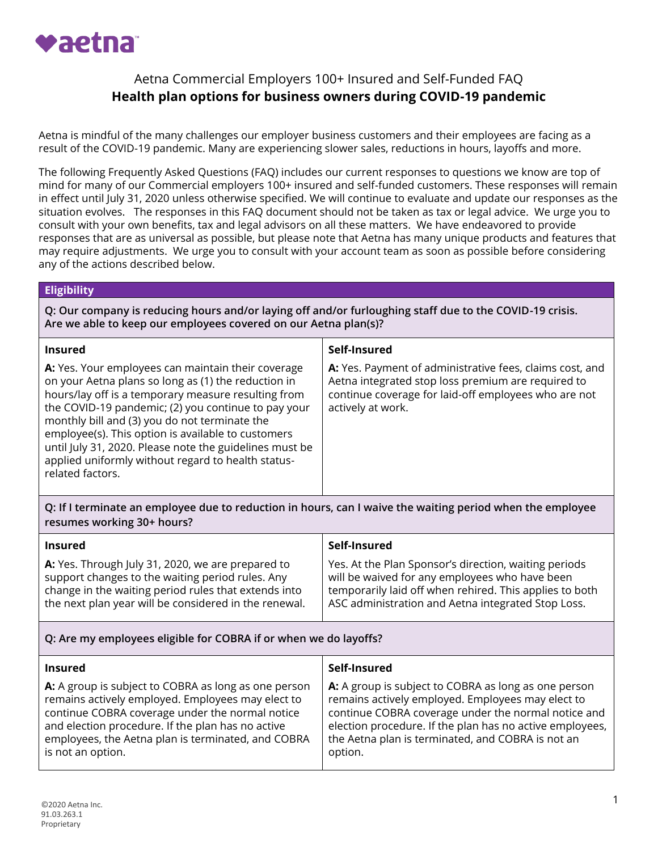

## Aetna Commercial Employers 100+ Insured and Self-Funded FAQ **Health plan options for business owners during COVID-19 pandemic**

Aetna is mindful of the many challenges our employer business customers and their employees are facing as a result of the COVID-19 pandemic. Many are experiencing slower sales, reductions in hours, layoffs and more.

The following Frequently Asked Questions (FAQ) includes our current responses to questions we know are top of mind for many of our Commercial employers 100+ insured and self-funded customers. These responses will remain in effect until July 31, 2020 unless otherwise specified. We will continue to evaluate and update our responses as the situation evolves. The responses in this FAQ document should not be taken as tax or legal advice. We urge you to consult with your own benefits, tax and legal advisors on all these matters. We have endeavored to provide responses that are as universal as possible, but please note that Aetna has many unique products and features that may require adjustments. We urge you to consult with your account team as soon as possible before considering any of the actions described below.

#### **Eligibility**

**Q: Our company is reducing hours and/or laying off and/or furloughing staff due to the COVID-19 crisis. Are we able to keep our employees covered on our Aetna plan(s)?**

| <b>Insured</b>                                                                                                                                                                                                                                                                                                                                                                                                                                                      | Self-Insured                                                                                                                                                                                |
|---------------------------------------------------------------------------------------------------------------------------------------------------------------------------------------------------------------------------------------------------------------------------------------------------------------------------------------------------------------------------------------------------------------------------------------------------------------------|---------------------------------------------------------------------------------------------------------------------------------------------------------------------------------------------|
| A: Yes. Your employees can maintain their coverage<br>on your Aetna plans so long as (1) the reduction in<br>hours/lay off is a temporary measure resulting from<br>the COVID-19 pandemic; (2) you continue to pay your<br>monthly bill and (3) you do not terminate the<br>employee(s). This option is available to customers<br>until July 31, 2020. Please note the guidelines must be<br>applied uniformly without regard to health status-<br>related factors. | A: Yes. Payment of administrative fees, claims cost, and<br>Aetna integrated stop loss premium are required to<br>continue coverage for laid-off employees who are not<br>actively at work. |

**Q: If I terminate an employee due to reduction in hours, can I waive the waiting period when the employee resumes working 30+ hours?**

| <b>Insured</b>                                        | Self-Insured                                            |
|-------------------------------------------------------|---------------------------------------------------------|
| A: Yes. Through July 31, 2020, we are prepared to     | Yes. At the Plan Sponsor's direction, waiting periods   |
| support changes to the waiting period rules. Any      | will be waived for any employees who have been          |
| change in the waiting period rules that extends into  | temporarily laid off when rehired. This applies to both |
| the next plan year will be considered in the renewal. | ASC administration and Aetna integrated Stop Loss.      |

### **Q: Are my employees eligible for COBRA if or when we do layoffs?**

| <b>Insured</b>                                       | Self-Insured                                             |
|------------------------------------------------------|----------------------------------------------------------|
| A: A group is subject to COBRA as long as one person | A: A group is subject to COBRA as long as one person     |
| remains actively employed. Employees may elect to    | remains actively employed. Employees may elect to        |
| continue COBRA coverage under the normal notice      | continue COBRA coverage under the normal notice and      |
| and election procedure. If the plan has no active    | election procedure. If the plan has no active employees, |
| employees, the Aetna plan is terminated, and COBRA   | the Aetna plan is terminated, and COBRA is not an        |
| is not an option.                                    | option.                                                  |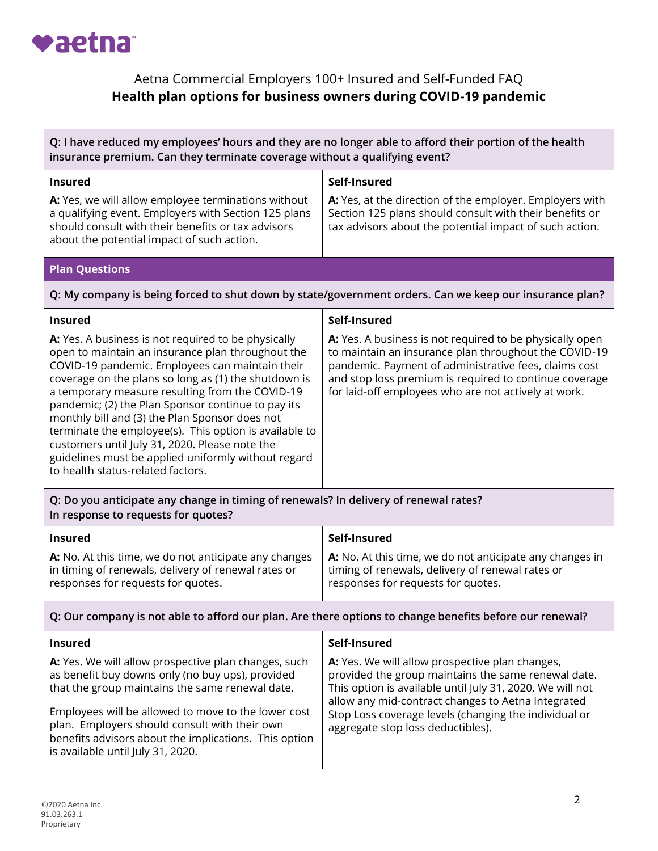

# Aetna Commercial Employers 100+ Insured and Self-Funded FAQ **Health plan options for business owners during COVID-19 pandemic**

| Q: I have reduced my employees' hours and they are no longer able to afford their portion of the health<br>insurance premium. Can they terminate coverage without a qualifying event?                                                                                                                                                                                                                                                                                                                                                                                                  |                                                                                                                                                                                                                                                                                                                         |  |
|----------------------------------------------------------------------------------------------------------------------------------------------------------------------------------------------------------------------------------------------------------------------------------------------------------------------------------------------------------------------------------------------------------------------------------------------------------------------------------------------------------------------------------------------------------------------------------------|-------------------------------------------------------------------------------------------------------------------------------------------------------------------------------------------------------------------------------------------------------------------------------------------------------------------------|--|
| <b>Insured</b>                                                                                                                                                                                                                                                                                                                                                                                                                                                                                                                                                                         | Self-Insured                                                                                                                                                                                                                                                                                                            |  |
| A: Yes, we will allow employee terminations without<br>a qualifying event. Employers with Section 125 plans<br>should consult with their benefits or tax advisors<br>about the potential impact of such action.                                                                                                                                                                                                                                                                                                                                                                        | A: Yes, at the direction of the employer. Employers with<br>Section 125 plans should consult with their benefits or<br>tax advisors about the potential impact of such action.                                                                                                                                          |  |
| <b>Plan Questions</b>                                                                                                                                                                                                                                                                                                                                                                                                                                                                                                                                                                  |                                                                                                                                                                                                                                                                                                                         |  |
|                                                                                                                                                                                                                                                                                                                                                                                                                                                                                                                                                                                        | Q: My company is being forced to shut down by state/government orders. Can we keep our insurance plan?                                                                                                                                                                                                                  |  |
| <b>Insured</b>                                                                                                                                                                                                                                                                                                                                                                                                                                                                                                                                                                         | Self-Insured                                                                                                                                                                                                                                                                                                            |  |
| A: Yes. A business is not required to be physically<br>open to maintain an insurance plan throughout the<br>COVID-19 pandemic. Employees can maintain their<br>coverage on the plans so long as (1) the shutdown is<br>a temporary measure resulting from the COVID-19<br>pandemic; (2) the Plan Sponsor continue to pay its<br>monthly bill and (3) the Plan Sponsor does not<br>terminate the employee(s). This option is available to<br>customers until July 31, 2020. Please note the<br>guidelines must be applied uniformly without regard<br>to health status-related factors. | A: Yes. A business is not required to be physically open<br>to maintain an insurance plan throughout the COVID-19<br>pandemic. Payment of administrative fees, claims cost<br>and stop loss premium is required to continue coverage<br>for laid-off employees who are not actively at work.                            |  |
| Q: Do you anticipate any change in timing of renewals? In delivery of renewal rates?<br>In response to requests for quotes?                                                                                                                                                                                                                                                                                                                                                                                                                                                            |                                                                                                                                                                                                                                                                                                                         |  |
| <b>Insured</b>                                                                                                                                                                                                                                                                                                                                                                                                                                                                                                                                                                         | Self-Insured                                                                                                                                                                                                                                                                                                            |  |
| A: No. At this time, we do not anticipate any changes<br>in timing of renewals, delivery of renewal rates or<br>responses for requests for quotes.                                                                                                                                                                                                                                                                                                                                                                                                                                     | A: No. At this time, we do not anticipate any changes in<br>timing of renewals, delivery of renewal rates or<br>responses for requests for quotes.                                                                                                                                                                      |  |
| Q: Our company is not able to afford our plan. Are there options to change benefits before our renewal?                                                                                                                                                                                                                                                                                                                                                                                                                                                                                |                                                                                                                                                                                                                                                                                                                         |  |
| <b>Insured</b>                                                                                                                                                                                                                                                                                                                                                                                                                                                                                                                                                                         | Self-Insured                                                                                                                                                                                                                                                                                                            |  |
| A: Yes. We will allow prospective plan changes, such<br>as benefit buy downs only (no buy ups), provided<br>that the group maintains the same renewal date.<br>Employees will be allowed to move to the lower cost<br>plan. Employers should consult with their own<br>benefits advisors about the implications. This option<br>is available until July 31, 2020.                                                                                                                                                                                                                      | A: Yes. We will allow prospective plan changes,<br>provided the group maintains the same renewal date.<br>This option is available until July 31, 2020. We will not<br>allow any mid-contract changes to Aetna Integrated<br>Stop Loss coverage levels (changing the individual or<br>aggregate stop loss deductibles). |  |
|                                                                                                                                                                                                                                                                                                                                                                                                                                                                                                                                                                                        |                                                                                                                                                                                                                                                                                                                         |  |